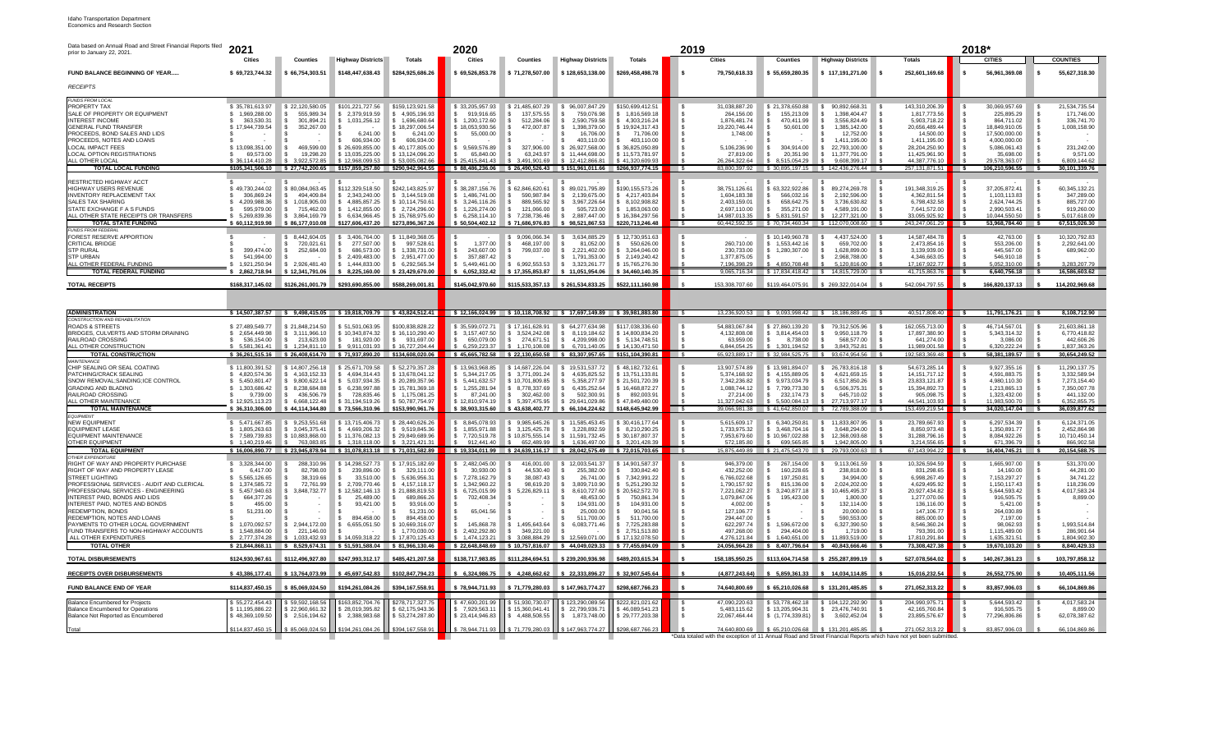## Idaho Transportation Department Economics and Research Section

| Data based on Annual Road and Street Financial Reports filed<br>prior to January 22, 2021. | 2021<br><b>Cities</b>              | <b>Counties</b>                    | <b>Highway Districts</b>                                                | Totals                              | 2020<br><b>Cities</b>                                             | <b>Counties</b>                     | <b>Highway Districts</b>                                  | <b>Totals</b>                          | 2019                     | <b>Cities</b>                  | <b>Counties</b>                     | <b>Highway Districts</b>                                 | <b>Totals</b>                                                                                                      | 2018*<br><b>CITIES</b>                     | <b>COUNTIES</b>               |
|--------------------------------------------------------------------------------------------|------------------------------------|------------------------------------|-------------------------------------------------------------------------|-------------------------------------|-------------------------------------------------------------------|-------------------------------------|-----------------------------------------------------------|----------------------------------------|--------------------------|--------------------------------|-------------------------------------|----------------------------------------------------------|--------------------------------------------------------------------------------------------------------------------|--------------------------------------------|-------------------------------|
| FUND BALANCE BEGINNING OF YEAR                                                             | \$69.723.744.32                    | \$66,754,303.51                    | \$148,447,638.43                                                        | \$284,925,686.26                    | \$69.526.853.78                                                   | \$71,278,507.00                     | \$128,653,138.00                                          | \$269,458,498.78                       |                          | 79.750.618.33                  | \$55.659.280.35                     | \$117,191,271.00                                         | 252,601,169.68<br>۱s                                                                                               | 56,961,369.08                              | 55,627,318.30                 |
| RECEIPTS                                                                                   |                                    |                                    |                                                                         |                                     |                                                                   |                                     |                                                           |                                        |                          |                                |                                     |                                                          |                                                                                                                    |                                            |                               |
| <b>FUNDS FROM LOCAL</b><br>PROPERTY TAX                                                    | \$35,781,613,97                    | \$22,120,580.05                    | \$101.221.727.56                                                        | \$159,123,921.58                    | \$33,205,957.93                                                   | \$21.485.607.29                     | 96.007.847.29<br>-S                                       | \$150,699,412.51                       |                          | 31.038.887.20                  | \$21.378.650.88                     | 90.892.668.31                                            | 143.310.206.39                                                                                                     | 30.069.957.69                              | 21,534,735.54                 |
| SALE OF PROPERTY OR EQUIPMENT                                                              | 1.969.288.00                       | 555.989.34                         | 2.379.919.59<br>£.                                                      | S.<br>4.905.196.93                  | 919.916.65                                                        | 137.575.55                          | 759.076.98                                                | 1.816.569.18                           |                          | 264.156.00                     | 155.213.09                          | 1.398.404.47                                             | 1.817.773.56                                                                                                       | 225.895.29<br>864.711.02                   | 171.746.00                    |
| <b>INTEREST INCOME</b><br><b>GENERAL FUND TRANSFER</b>                                     | 363.530.31<br>\$17.944.739.54      | 301.894.21<br>352.267.00           | 1,031,256.12                                                            | \$1.696.680.64<br>\$18,297,006.54   | 1.200.172.60<br>\$18.053.930.56                                   | 512.284.06<br>472.007.87            | 2.590.759.58<br>-S<br>1.398.379.00<br>l S                 | 4.303.216.24<br>-S<br>\$19,924,317.43  |                          | 1.876.481.74<br>19.220.746.44  | 470.411.99<br>50,601.00             | 3.556.824.49<br>1.385.142.00                             | 5.903.718.22<br>20.656.489.44                                                                                      | 18.849.910.05                              | 336.741.70<br>1.008.158.90    |
| PROCEEDS, BOND SALES AND LIDS<br>PROCEEDS, NOTES AND LOANS                                 |                                    |                                    | 6.241.00<br>606.934.00                                                  | 6.241.00<br>606,934.00              | 55,000.00                                                         |                                     | 16,706.00<br>403.110.00                                   | 71,706.00<br>s<br>403.110.00<br>-S     |                          | 1,748.00                       |                                     | 12.752.00<br>1.411.195.00                                | 14,500.00<br>1,411,195.00                                                                                          | 17.500.000.00<br>4.000.000.00              |                               |
| <b>LOCAL IMPACT FFFS</b>                                                                   | \$13.098.351.00                    | 469.599.00                         | \$26,609,855.00                                                         | \$40.177.805.00                     | \$9.569.576.89                                                    | 327,906.00<br>-S                    | \$26,927,568,00                                           | \$ 36,825,050,89                       |                          | 5.106.236.90                   | 304.914.00<br>-S                    | 22.793.100.00<br>■ S                                     | 28.204.250.90                                                                                                      | 5.086.061.43                               | 231,242.00                    |
| LOCAL OPTION REGISTRATIONS<br>ALL OTHER LOCAL                                              | 69.573.00<br>\$ 36 114 410 28      | 19,298.20<br>3.922.572.85          | \$13,035,225.00<br>\$12,968,099.53                                      | \$13,124,096.20<br>\$53,005,082.66  | 65.840.00<br>\$25.415.841.43                                      | s<br>63.243.97<br>3.491.901.69      | \$11,444,698,00<br>12.412.866.81                          | \$11,573,781.97<br>\$41,320,609.93     |                          | 27,819.00<br>26.264.322.64     | 20.351.90<br>S<br>8.515.054.29      | 11.377.791.00<br>9.608.399.17                            | 11,425,961.90<br>\$<br>44.387.776.1                                                                                | 35,698.00<br>29.578.363.07                 | 9,571.00<br>6.809.144.62      |
| <b>TOTAL LOCAL FUNDING</b>                                                                 |                                    |                                    | \$105,341,506.10 \$27,742,200.65 \$157,859,257.80 \$290,942,964.55      |                                     | \$88,486,236.06 \$26,490,526.43 \$151,961,011.66 \$266,937,774.15 |                                     |                                                           |                                        |                          | 83.800.397.92                  |                                     | \$ 30.895.197.15 \$ 142.436.276.44 \$                    | 257, 131, 871.51                                                                                                   | $\overline{\phantom{a}}$<br>106,210,596.55 | 30,101,339.76                 |
| RESTRICTED HIGHWAY ACCT                                                                    |                                    |                                    |                                                                         |                                     |                                                                   |                                     |                                                           |                                        |                          |                                |                                     |                                                          |                                                                                                                    |                                            |                               |
| HIGHWAY USERS REVENUE<br><b>INVENTORY REPLACEMENT TAX</b>                                  | \$49,730,244.02<br>306.869.24      | \$80,084,063.45<br>494.409.84      | \$112,329,518.50<br>\$2.343.240.00                                      | \$242,143,825.97<br>\$ 3.144.519.08 | \$38,287,156.76<br>\$1.486.741.00                                 | \$62,846,620.61<br>590.987.84<br>S. | 89,021,795.89<br>l S<br>2.139.675.00<br>l S               | \$190.155.573.26<br>\$4.217.403.84     |                          | 38,751,126.61<br>1.604.183.38  | \$63,322,922.86<br>566.032.16<br>s. | 89.274.269.78<br>2.192.596.00                            | 191,348,319.25<br>∣\$<br>4.362.811.54<br>- \$                                                                      | 37,205,872.41<br>1.103.113.83              | 60,345,132.21<br>347.289.00   |
| SALES TAX SHARING                                                                          | 4,209,988.36                       | 1.018.905.00                       | \$4,885,857.25                                                          | \$10.114.750.61                     | \$ 3,246,116.26                                                   | 889.565.92                          | ∣\$<br>3,967,226.64                                       | \$ 8.102.908.82                        |                          | 2,403,159.01                   | 658.642.75                          | 3.736.630.82                                             | 6,798,432.58<br>- \$                                                                                               | 2,624,744.25                               | 885,727.00                    |
| STATE EXCHANGE F A S FUNDS<br>ALL OTHER STATE RECEIPTS OR TRANSFERS                        | 595.979.00<br>5.269.839.36         | 715.462.00<br>\$ 3.864.169.79      | \$1,412,855.00<br>\$ 6.634,966.45                                       | \$2,724,296.00<br>\$15,768,975.60   | \$ 1,226,274.00<br>\$ 6,258,114,10                                | 121,066.00<br>$\mathbf{s}$          | $\sqrt{S}$<br>505,723.00<br>\$7.238,736.46 \$2.887,447.00 | \$ 1.853,063,00<br>\$16,384,297.56     |                          | 2,697,110.00<br>14 987 013 35  | 355,271.00<br>s.<br>\$583159157     | 4.589.191.00<br>$\mathbf{s}$<br>\$12, 277, 321, 00       | 7,641,572.00<br>- \$<br>33 095 925 92                                                                              | 2,990,503.41<br>10.044.550.50              | 919,260.00<br>501761809       |
| <b>TOTAL STATE FUNDING</b>                                                                 | \$60.112.919.98                    | \$86,177,010.08                    | \$127,606,437.20                                                        | \$273,896,367.26                    | \$50,504,402.12                                                   | \$71,686,976.83                     | \$98,521,867.53                                           | \$220.713.246.48                       | $\overline{\phantom{a}}$ |                                |                                     | 60.442.592.35 \$70.734.460.34 \$112.070.008.60 \$        | 243.247.061.29                                                                                                     | 53.968.784.40 \$<br><b>S</b>               | 67,515,026.30                 |
| <b>FUNDS FROM FEDERAL</b><br>FOREST RESERVE APPORTION                                      |                                    | 8.442.604.05                       | 3.406.764.00<br>S.                                                      | \$11,849,368.05                     |                                                                   | \$9.096.066.34                      | 3.634.885.29                                              | \$12,730,951.63                        |                          |                                | \$10,149,960.78                     | 4.437.524.00                                             | 14.587.484.78                                                                                                      | 42.763.00                                  | 10.320.792.83                 |
| CRITICAL BRIDGE<br><b>STP RURAL</b>                                                        |                                    | 720,021.61                         | 277,507.00<br>-S<br>$\mathcal{L}$<br>686,573.00                         | 997,528.61<br>-S                    | 1,377.00                                                          | 468,197.00<br>s.                    | 81,052.00<br>-S<br>∣\$                                    | 550,626.00<br>s.                       |                          | 260,710.00                     | \$1,553,442.16                      | 659,702.00<br>1.628.899.00                               | 2,473,854.16<br>$\mathcal{S}$                                                                                      | 553,206.00<br>445.567.00                   | 2,292,641.00                  |
| <b>STP URBAN</b>                                                                           | 399,474.00<br>541.994.00           | 252.684.00                         | 2.409.483.00                                                            | \$ 1,338,731.00<br>\$ 2.951,477.00  | 243,607.00<br>357,887.42                                          | 799.037.00                          | 2.221.402.00<br>1.791.353.00                              | \$ 3.264.046.00<br>\$ 2.149,240.42     |                          | 230.733.00<br>1.377.875.05     | \$1.280,307.00                      | 2.968.788.00                                             | 3.139.939.00<br>4.346.663.05                                                                                       | 546.910.18                                 | 689,962.00                    |
| ALL OTHER FEDERAL FUNDING                                                                  | 1.921.250.94                       | \$2.926.481.40                     | \$1.444.833.00                                                          | \$ 6.292.565.34                     | \$ 5.449.461.00                                                   | \$ 6.992,553,53                     | 3.323.261.77<br>∣\$                                       | \$15.765.276.30                        |                          | 7.196.398.29                   | 4.850.708.48                        | 5.120.816.00                                             | 17.167.922.77                                                                                                      | 5.052.310.00                               | 3.283.207.79                  |
| <b>TOTAL FEDERAL FUNDING</b>                                                               | 2.862.718.94                       | \$12,341,791.06                    | 8,225,160.00                                                            | \$23,429,670.00                     | 6.052.332.42                                                      | \$17.355.853.87                     | \$11.051.954.06                                           | \$34,460,140,35                        | $\sim$                   |                                |                                     | 9,065,716.34 \$17,834,418.42 \$14,815,729.00 \$          | 41,715,863.76                                                                                                      | $6,640,756.18$ \$                          | 16,586,603.62                 |
| <b>TOTAL RECEIPTS</b>                                                                      | \$168.317.145.02                   | \$126,261,001.79                   | \$293,690,855.00                                                        | \$588,269,001.81                    | \$145,042,970.60                                                  | \$115,533,357,13                    | \$261.534.833.25                                          | \$522,111,160.98                       |                          | 153 308 707 60                 | \$119 464 075 91                    | \$269.322.014.04                                         | 542.094.797.5                                                                                                      | 166,820,137.13                             | 114,202,969.68                |
|                                                                                            |                                    |                                    |                                                                         |                                     |                                                                   |                                     |                                                           |                                        |                          |                                |                                     |                                                          |                                                                                                                    |                                            |                               |
| <b>ADMINISTRATION</b>                                                                      |                                    |                                    | \$14,507,387.57 \$9,498,415.05 \$19,818,709.79 \$43,824,512.41          |                                     | \$12,166,024.99 \$10,118,708.92 \$17,697,149.89 \$39,981,883.80   |                                     |                                                           |                                        | $\sim$ $\sim$            |                                |                                     | 13.236.920.53 \$9.093.998.42 \$18.186.889.45 \$          | 40.517.808.40                                                                                                      | $11,791,176.21$ \$<br>∣\$                  | 8.108.712.90                  |
| <b>CONSTRUCTION AND REHABILITATION</b><br><b>ROADS &amp; STREETS</b>                       | \$27,489,549,77                    | \$21,848,214.50                    | \$51,501,063.95                                                         | \$100,838,828.22                    | \$35,599,072.71                                                   | \$17,161,628.91                     | \$ 64,277,634,98                                          | \$117,038,336.60                       |                          | 54.883.067.84                  | \$27,860,139.20                     | 79.312.505.96<br>∣\$.                                    | 162,055,713.00                                                                                                     | 46,714,567.01                              | 21.603.861.18                 |
| BRIDGES, CULVERTS AND STORM DRAINING                                                       | \$2.654.449.98                     | \$ 3.111,966.10                    | \$10,343,874.32                                                         | \$16,110,290.40                     | \$ 3,157,407.50                                                   | \$ 3,524,242.08                     | \$8,119,184.62                                            | \$14,800,834.20                        |                          | 4.132.808.08                   | \$ 3.814.454.03                     | 9.950.118.79                                             | 17.897.380.90                                                                                                      | 5.343.314.32                               | 6.770.418.82                  |
| RAILROAD CROSSING<br>ALL OTHER CONSTRUCTION                                                | 536.154.00<br>\$5.581.361.41       | 213.623.00<br>\$1.234.811.10       | ∥\$<br>181,920.00<br>\$ 9.911.031.93                                    | \$931,697.00<br>\$16,727,204.44     | 650,079.00<br>\$ 6.259.223.37                                     | 274,671.51<br>S.<br>\$1.170.108.08  | ∥\$<br>4.209.998.00<br>6.701.140.05                       | \$ 5,134,748.51<br>\$14.130.471.50     |                          | 63.959.00<br>6.844.054.25      | 8,738.00<br>\$1.301.194.52          | 568,577.00<br>3.843.752.81                               | 641,274.00<br>11.989.001.58                                                                                        | 3,086.00<br>6.320.222.24                   | 442,606.26<br>1.837.363.26    |
| <b>TOTAL CONSTRUCTION</b>                                                                  |                                    |                                    | \$36,261,515.16 \$26,408,614.70 \$71,937,890.20 \$134,608,020.06        |                                     | \$45,665,782.58 \$22,130,650.58 \$83,307,957.65 \$151,104,390.81  |                                     |                                                           |                                        | $\overline{\phantom{a}}$ |                                |                                     | 65.923.889.17 \ \$ 32.984.525.75 \ \$ 93.674.954.56 \ \$ | 192,583,369.48                                                                                                     | ா<br>58,381,189.57                         | 30,654,249.52                 |
| <b>MAINTENANCE</b><br>CHIP SEALING OR SEAL COATING                                         | \$11.800.391.52                    | \$14,807,256,18                    | \$25,671,709.58                                                         | \$52,279,357.28                     | \$13.963.968.85                                                   | \$14,687,226,04                     | \$19,531,537,72                                           | \$48.182.732.61                        |                          | 13.907.574.89                  | \$13,981,894.07                     | 26,783,816,18<br>∣\$.                                    | 54.673.285.14                                                                                                      | 9.927.355.16                               | 11.290.137.75                 |
| PATCHING/CRACK SEALING                                                                     | \$4.820.574.36                     | \$4.163.152.33                     | \$4.694.314.43                                                          | \$13.678.041.12                     | \$ 5.344.217.05                                                   | \$ 3.771.091.24                     | ∣s.<br>4.635.825.52                                       | \$13.751.133.81                        |                          | 5.374.168.92                   | \$4.155.889.05                      | 4.621.659.15                                             | 14, 151, 717. 12<br>- \$                                                                                           | 4,591,883.75                               | 3.332.589.94                  |
| SNOW REMOVAL; SANDING; ICE CONTROL<br><b>GRADING AND BLADING</b>                           | \$ 5.450.801.47<br>\$1.303,686,42  | 9.800.622.14<br>8.238.684.88       | 5.037.934.35<br>- \$<br>$\mathbf{s}$<br>6.238.997.88                    | \$20.289.357.96<br>\$15,781,369.18  | \$ 5.441.632.57<br>1.255.281.94                                   | \$10.701.809.85<br>\$ 8,778,337.69  | 5.358.277.97<br>∥\$<br>١s<br>6.435.252.64                 | \$21.501.720.39<br>\$16,468,872.27     |                          | 7.342.236.82<br>1.088.744.12   | \$9.973.034.79<br>\$7.799.773.30    | 6.517.850.26<br>6.506.375.31                             | 23.833.121.87<br>- \$<br>15.394.892.73                                                                             | 4.980.110.30<br>1.213.865.13               | 7.273.154.40<br>7.350.007.78  |
| RAIL ROAD CROSSING                                                                         | 9.739.00                           | 436,506.79                         | $\mathbf{s}$<br>728.835.46                                              | \$1.175.081.25                      | 87.241.00                                                         | \$302.462.00                        | ∣\$<br>502.300.91                                         | \$ 892,003.91                          |                          | 27.214.00                      | 232.174.73<br>-S -                  | 645.710.02<br>l s                                        | 905.098.75                                                                                                         | 1.323.432.00                               | 441.132.00                    |
| ALL OTHER MAINTENANCE<br><b>TOTAL MAINTENANCE</b>                                          | \$12.925.113.23<br>36.310.306.00   | \$ 6.668.122.48<br>\$44.114.344.80 | \$31,194,519.26<br>\$73.566.310.96                                      | \$50.787.754.97<br>\$153,990,961.76 | \$12,810,974.19<br>\$38.903.315.60                                | \$ 5.397.475.95<br>\$43.638.402.77  | S 29.641.029.86<br>\$66.104.224.62                        | \$47,849,480.00<br>\$148,645,942.99    | $\overline{\phantom{a}}$ | 11.327.042.63<br>39.066.981.38 | 5.500.084.13                        | 27.713.977.17<br>\$41,642,850,07 \$72,789,388,09 \$      | 44.541.103.93<br>153 499 219 54                                                                                    | 11.983.500.70<br>ு<br>34,020,147.04        | 6.352.855.75<br>36,039,877.62 |
| <b>FOURMENT</b>                                                                            |                                    |                                    |                                                                         |                                     |                                                                   |                                     |                                                           |                                        |                          |                                |                                     |                                                          |                                                                                                                    |                                            |                               |
| <b>NEW EQUIPMENT</b><br><b>EQUIPMENT LEASE</b>                                             | \$ 5.471.667.85<br>1,805,263.63    | 9,253,551.68<br>\$ 3,045,375.41    | \$13,715,406.73<br>\$4,669,206.32                                       | \$28,440,626.26<br>\$9,519,845.36   | \$ 8,845,078.93<br>\$1,855,971.88                                 | \$9.985.645.26<br>\$ 3,125,425.78   | \$11,585,453.45<br>\$ 3,228,892.59                        | \$30,416,177,64<br>\$8,210,290.25      |                          | 5.615.609.17<br>1,733,975.32   | \$6,340,250.81<br>\$ 3,468,704.16   | 11.833.807.95<br>3 648 294 00                            | 23,789,667.93<br>8,850,973.48<br>-S                                                                                | 6,297,534.39<br>1,350,891.77               | 6,124,371.05<br>2,452,864.98  |
| <b>EQUIPMENT MAINTENANCE</b><br>OTHER EQUIPMENT                                            | \$7.589.739.83<br>1.140.219.46     | \$10,883,868.00<br>763.083.85      | \$11,376,082.13<br>\$ 1.318.118.00                                      | \$29,849,689.96<br>\$ 3.221.421.31  | \$7.720.519.78<br>$91244140$ \$                                   | \$10,875,555,14                     | \$11.591.732.45<br>652 489 99 \$1636 497 00               | \$ 30.187.807.37<br>\$ 3.201.428.39    |                          | 7.953.679.60<br>572 185 80     | \$10,967,022,88<br>699.565.85       | 12.368.093.68<br>1 942 805 00                            | 31,288,796.16<br>3 214 556 65                                                                                      | 8.084.922.26<br>671 396 79                 | 10.710.450.14<br>866,902.58   |
| <b>TOTAL EQUIPMENT</b>                                                                     |                                    |                                    | \$16,006,890.77 \$23,945,878.94 \$31,078,813.18 \$71,031,582.89         |                                     | \$19,334,011.99 \$24,639,116.17 \$28,042,575.49 \$72,015,703.65   |                                     |                                                           |                                        | <b>S</b>                 |                                |                                     | 15.875.449.89 \ \$ 21.475.543.70 \ \$ 29.793.000.63 \ \$ | 67.143.994.22                                                                                                      | <b>s</b><br>16.404.745.21                  | 20,154,588.75                 |
| <b>OTHER EXPENDITURE</b><br>RIGHT OF WAY AND PROPERTY PURCHASE                             | \$ 3.328.344.00                    | 288.310.96                         | \$14,298,527,73                                                         | \$17,915,182.69                     | \$2.482,045,00                                                    | 416.001.00                          | 12.003.541.37                                             | \$14,901,587,37                        |                          | 946.379.00                     | 267.154.00<br>s                     | 9.113.061.59                                             | 10.326.594.59                                                                                                      | 1.665.907.00                               | 531.370.00                    |
| RIGHT OF WAY AND PROPERTY LEASE                                                            | 6.417.00                           | 82,798.00                          | 239,896.00<br>-S                                                        | 329.111.00<br>s.                    | 30.930.00                                                         | 44.530.40                           | 255.382.00<br>-S                                          | 330.842.40<br>- \$                     |                          | 432,252.00                     | 160.228.65                          | 238.818.00                                               | 831,298.65                                                                                                         | 14.160.00                                  | 44.281.00                     |
| STREET LIGHTING<br>PROFESSIONAL SERVICES - AUDIT AND CLERICAL                              | 5.565.126.65<br>1.374.585.72       | 38.319.66<br>72.761.99             | 33.510.00<br>2,709,770.46<br>- \$                                       | 5.636.956.31<br>\$4.157.118.17      | 7.278.162.79<br>1.342.960.22                                      | 38.087.43<br>98.619.20              | 26.741.00<br>3.809.710.90<br>۱s                           | \$.<br>7.342.991.22<br>\$ 5.251,290.32 |                          | 6.766.022.68<br>1.790.157.92   | 197.250.81<br>815,136.00<br>s.      | 34.994.00<br>2.024.202.00                                | 6.998.267.49<br>4.629.495.92<br>-S                                                                                 | 7,153,297.27<br>1.150.117.43               | 34.741.22<br>118,236.09       |
| PROFESSIONAL SERVICES - ENGINEERING                                                        | 5.457.940.63                       | 3,848,732.77                       | 12.582.146.13<br>- \$                                                   | \$21,888,819.53                     | 6,725,015.99                                                      | 5.226.829.11                        | 8.610.727.60<br>l S                                       | \$20.562,572.70                        |                          | 7.221.062.27                   | \$ 3,240,877.18                     | 10.465.495.37                                            | 20,927,434.82                                                                                                      | 5.644.593.42                               | 4.017.583.24                  |
| INTEREST PAID, BONDS AND LIDS<br>INTEREST PAID, NOTES AND BONDS                            | 664.377.26<br>495.00               |                                    | 25.489.00<br>93.421.00                                                  | 689.866.26<br>93.916.00<br>-S       | 702,408.34                                                        |                                     | 48.453.00<br>104.931.00                                   | 750.861.34<br>104.931.00               |                          | 1.079.847.06<br>4,002.00       | 195,423.00                          | 1.800.00<br>132.114.00                                   | 1,277,070.06<br>136,116.00<br>- S                                                                                  | 916, 505, 75<br>5.421.00                   | 8,899.00                      |
| <b>REDEMPTION, BONDS</b>                                                                   | 51,231.00                          |                                    |                                                                         | 51.231.00                           | 65,041.56                                                         |                                     | 25,000.00                                                 | 90.041.56                              |                          | 127.106.77                     |                                     | 20,000.00                                                | 147.106.77                                                                                                         | 264.030.89                                 |                               |
| REDEMPTION, NOTES AND LOANS<br>PAYMENTS TO OTHER LOCAL GOVERNMENT                          | 1.070.092.57                       | \$2.944.172.00                     | 894.458.00<br>6,655,051.50<br>l S                                       | 894.458.00<br>\$10.669.316.07       | 145.868.78                                                        | \$1.495.643.64                      | 511.700.00<br>∥\$<br>6.083.771.46                         | 511.700.00<br>-S<br>\$7.725.283.88     |                          | 294.447.00<br>622.297.74       | \$1.596,672.00                      | 590.553.00<br>6.327.390.50                               | 885,000.00<br>8.546.360.24                                                                                         | 7.197.00<br>98.062.93                      | 1.993.514.84                  |
| FUND TRANSFERS TO NON-HIGHWAY ACCOUNTS<br>ALL OTHER EXPENDITURES                           | 1.548.884.00<br>2.777.374.28       | 221.146.00<br>s.<br>1.033.432.93   | - \$<br>\$14.059.318.22                                                 | \$1.770.030.00<br>\$17.870.125.43   | \$ 2.402.292.80<br>1,474,123.21                                   | 349.221.00<br>-S<br>3,088,884.29    | ∎ s<br>12 569 071 00                                      | \$2.751,513.80<br>\$17 132 078 50      |                          | 497.268.00<br>4.276.121.84     | 294.404.00<br>s.<br>1.640.651.00    | 1.719.00<br>11 893 519 00                                | 793.391.00<br>17,810,291.84                                                                                        | 1.115.489.00<br>1.635.321.51               | 286,901.64<br>1.804.902.30    |
| <b>TOTAL OTHER</b>                                                                         |                                    |                                    | \$21,844,868.11    \$8,529,674.31    \$51,591,588.04    \$81,966,130.46 |                                     | \$22,648,848.69 \$10,757,816.07 \$44,049,029.33 \$77,455,694.09   |                                     |                                                           |                                        |                          | 24,056,964.28                  |                                     | $$8,407,796.64$ $$40,843,666.46$ \$                      | 73,308,427.38                                                                                                      | 19,670,103.20                              | 8,840,429.33                  |
| <b>TOTAL DISBURSEMENTS</b>                                                                 | \$124,930,967.61                   | \$112,496,927.80                   | \$247,993,312.17                                                        | \$485,421,207.58                    | \$138,717,983.85                                                  | \$111,284,694.51                    | \$239,200,936.98                                          | \$489,203,615.34                       |                          | 158,185,950.25                 | \$113,604,714.58                    | \$255,287,899.19                                         | 527.078.564.02                                                                                                     | 140.267.361.23                             | 103,797,858.12                |
| <b>RECEIPTS OVER DISBURSEMENTS</b>                                                         | \$43,386,177.41                    | \$13,764,073.99                    | \$45,697,542.83                                                         | \$102,847,794.23                    | \$ 6,324,986.75                                                   | \$ 4,248,662.62                     | \$22,333,896.27                                           | \$32,907,545.64                        |                          | (4.877.243.64)                 | \$5,859,361.33                      | \$14.034.114.85                                          | 15,016,232.54                                                                                                      | 26,552,775.90                              | 10,405,111.56                 |
| <b>FUND BALANCE END OF YEAR</b>                                                            | \$114,837,450.15                   | \$85.069.024.50                    | \$194.261.084.26                                                        | \$394,167,558.91                    | \$78,944,711.93 \$71,779,280.03                                   |                                     | \$147,963,774.27                                          | \$298,687,766.23                       |                          | 74.640.800.69                  |                                     | \$65.210.026.68 \$131.201.485.85                         | 271.052.313.22                                                                                                     | 83.857.906.03                              | 66.104.869.86                 |
|                                                                                            |                                    |                                    |                                                                         |                                     |                                                                   |                                     |                                                           |                                        |                          |                                |                                     |                                                          |                                                                                                                    |                                            |                               |
| <b>Balance Encumbered for Projects</b><br>Balance Encumbered for Operations                | \$55,272,454.43<br>\$11.195.886.22 | \$59,592,168.56<br>\$22,960,661.32 | \$163,852,704.76<br>\$28,019,395.82                                     | \$278,717,327.75<br>\$62,175,943.36 | \$47,600,201.99<br>\$7,929,563.11                                 | \$51,930,730.07<br>\$15,360,041.41  | \$123,290,089.56<br>\$22,799,936.71                       | \$222,821,021.62<br>\$46,089,541.23    |                          | 47,090,220.63<br>5.483.115.62  | \$53,778,462.18<br>\$13,205,904.31  | \$ 23,476,740.91                                         | 204,990,975.7<br>42, 165, 760.84<br>- \$                                                                           | 5,644,593.42<br>916,505.75                 | 4,017,583.24<br>8,899.00      |
| Balance Not Reported as Encumbered                                                         | \$48.369.109.50                    | \$2.516.194.62                     | \$2.388.983.68                                                          | \$53.274.287.80                     | \$23.414.946.83                                                   | \$4.488.508.55                      | \$1.873.748.00                                            | \$29.777.203.38                        |                          | 22.067.464.44                  | \$(1,774,339.81)                    | 3.602.452.04<br>■ S                                      | 23,895,576.67<br>-8                                                                                                | 77.296.806.86                              | 62,078,387.62                 |
|                                                                                            | \$114.837.450.15                   |                                    | \$85,069,024.50 \ \$194,261,084.26                                      | \$394.167.558.91                    | \$78.944.711.93                                                   |                                     | \$71.779.280.03 \ \$147.963.774.27 \ \$298.687.766.23     |                                        |                          |                                |                                     | 74,640,800.69 \$65,210,026.68 \$131,201,485.85           | 271.052.313.22                                                                                                     | 83.857.906.03                              | 66.104.869.86                 |
|                                                                                            |                                    |                                    |                                                                         |                                     |                                                                   |                                     |                                                           |                                        |                          |                                |                                     |                                                          | *Data totaled with the exception of 11 Annual Road and Street Financial Reports which have not yet been submitted. |                                            |                               |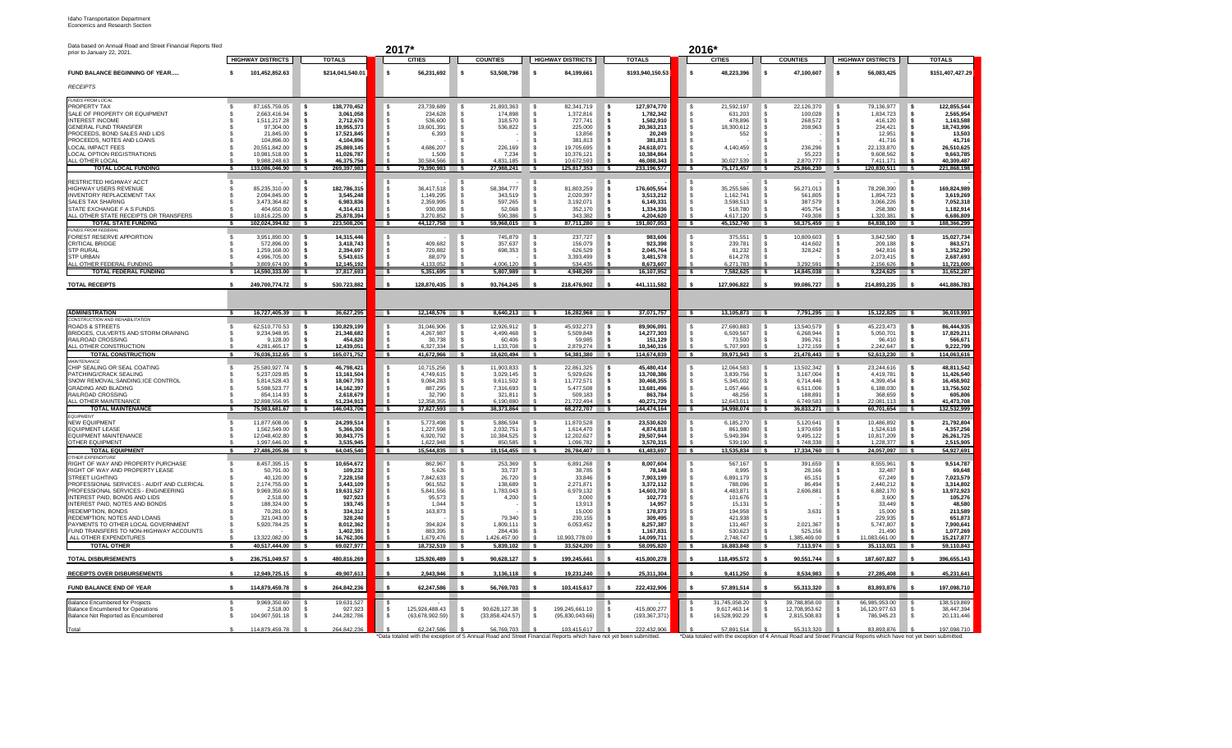| <b>Idaho Transportation Department</b> |
|----------------------------------------|
| Economics and Research Section         |

| Data based on Annual Road and Street Financial Reports filed<br>prior to January 22, 2021. |                                    |                           | 2017*                                                                                                             |                           |                             |                          | 2016*                                                                                                             |                                   |                                      |                          |
|--------------------------------------------------------------------------------------------|------------------------------------|---------------------------|-------------------------------------------------------------------------------------------------------------------|---------------------------|-----------------------------|--------------------------|-------------------------------------------------------------------------------------------------------------------|-----------------------------------|--------------------------------------|--------------------------|
|                                                                                            | <b>HIGHWAY DISTRICTS</b>           | <b>TOTALS</b>             | <b>CITIES</b>                                                                                                     | <b>COUNTIES</b>           | <b>HIGHWAY DISTRICTS</b>    | <b>TOTALS</b>            | <b>CITIES</b>                                                                                                     | <b>COUNTIES</b>                   | <b>HIGHWAY DISTRICTS</b>             | <b>TOTALS</b>            |
| FUND BALANCE BEGINNING OF YEAR                                                             | 101,452,852.63                     | \$214,041,540.01          | 56,231,692                                                                                                        | 53,508,798                | 84,199,661                  | \$193,940,150.53         | 48,223,396                                                                                                        | 47,100,607                        | 56,083,425                           | \$151,407,427.29         |
| <b>RECEIPTS</b>                                                                            |                                    |                           |                                                                                                                   |                           |                             |                          |                                                                                                                   |                                   |                                      |                          |
| <b>FUNDS FROM LOCAL</b>                                                                    |                                    |                           |                                                                                                                   |                           |                             |                          |                                                                                                                   |                                   |                                      |                          |
| PROPERTY TAX<br>SALE OF PROPERTY OR EQUIPMENT                                              | 87.165.759.05                      | 138,770,452<br>3,061,058  | 23.739.689                                                                                                        | 21.893.363<br>174,898     | 82.341.719<br>1,372,816     | 127,974,770              | 21,592,197                                                                                                        | 22,126,370<br>100,028             | 79.136.977<br>1,834,723              | 122,855,544<br>2,565,954 |
| <b>INTEREST INCOME</b>                                                                     | 2,663,416.94<br>1.511.217.28       | 2,712,670                 | 234,628<br>536,600                                                                                                | 318,570                   | 727.741                     | 1,782,342<br>1,582,910   | 631,203<br>478,896                                                                                                | 268.572                           | 416,120                              | 1,163,588                |
| <b>GENERAL FUND TRANSFER</b>                                                               | 97.304.00                          | 19,955,373                | 19,601,391                                                                                                        | 536,822                   | 225,000                     | 20,363,213               | 18,300,612                                                                                                        | 208,963                           | 234.421                              | 18,743,996               |
| PROCEEDS, BOND SALES AND LIDS                                                              | 21,845.00                          | 17,521,845                | 6,393                                                                                                             |                           | 13,856                      | 20,249                   | 552                                                                                                               |                                   | 12,951                               | 13,503                   |
| PROCEEDS, NOTES AND LOANS<br><b>LOCAL IMPACT FFFS</b>                                      | 104.896.00<br>20,551,842.00        | 4.104.896<br>25,869,145   | 4,686,207                                                                                                         | 226.169                   | 381.813<br>19,705,695       | 381.813<br>24,618,071    | 4,140,459                                                                                                         | 236,296                           | 41716<br>22,133,870                  | 41,716<br>26,510,625     |
| LOCAL OPTION REGISTRATIONS                                                                 | 10,981,518.00                      | 11,026,787                | 1,509                                                                                                             | 7,234                     | 10,376,121                  | 10,384,864               |                                                                                                                   | 55,223                            | 9,608,562                            | 9,663,785                |
| ALL OTHER LOCAL                                                                            | 9 988 248 63                       | 46.375.756                | 30.584.566                                                                                                        | 4831185                   | 10.672.593                  | 46.088.343               | 30.027.539                                                                                                        | 2870777                           | 7411171                              | 40.309.487               |
| <b>TOTAL LOCAL FUNDING</b>                                                                 | 133,086,046.90 \$                  | 269,397,983               | 79,390,983 \$<br>$\overline{\phantom{a}}$                                                                         | 27,988,241                | 125,817,353 \$              | 233,196,577              | 75,171,457 \$<br>$\sim$                                                                                           | 25,866,230                        | 120,830,511 \$<br>$\sim$             | 221,868,198              |
| RESTRICTED HIGHWAY ACCT                                                                    |                                    |                           |                                                                                                                   |                           |                             |                          |                                                                                                                   |                                   |                                      |                          |
| HIGHWAY USERS REVENUE                                                                      | 85,235,310.00                      | 182.786.315               | 36 417 518                                                                                                        | 58,384,777                | 81,803,259                  | 176.605.554              | 35,255,586                                                                                                        | 56,271,013                        | 78.298.390                           | 169,824,989              |
| <b>INVENTORY REPLACEMENT TAX</b><br>SALES TAX SHARING                                      | 2.094.845.00                       | 3,545,248                 | 1,149,295                                                                                                         | 343,519                   | 2,020,397                   | 3,513,212                | 1,162,741                                                                                                         | 561,805                           | 1,894,723                            | 3,619,269                |
| STATE EXCHANGE E A S FUNDS                                                                 | 3,473,364.82<br>404.650.00         | 6,983,836<br>4,314,413    | 2,359,995<br>930.098                                                                                              | 597,265<br>52.068         | 3,192,071<br>352.170        | 6,149,331<br>1.334.336   | 3,598,513<br>518,780                                                                                              | 387,579<br>405.754                | 3,066,226<br>258,380                 | 7,052,318<br>1,182,914   |
| ALL OTHER STATE RECEIPTS OR TRANSFERS                                                      | 10.816.225.00                      | 25,878,394                | 3 270 852                                                                                                         | 590 386                   | 343.382                     | 4.204.620                | 4617120                                                                                                           | 749.308                           | 1,320,381                            | 6.686.809                |
| <b>TOTAL STATE FUNDING</b>                                                                 | 102,024,394.82 \$                  | 223,508,206               | 44,127,758 \$<br>$\overline{\phantom{a}}$                                                                         | 59,968,015 \$             | $87,711,280$ \$             | 191,807,053              | 45,152,740 \$<br>$\overline{\phantom{a}}$                                                                         | 58,375,459 \$                     | 84,838,100 \$                        | 188,366,299              |
| <b>FUNDS FROM FEDERAL</b><br>FOREST RESERVE APPORTION                                      | 3.951.890.00                       | 14.315.446                |                                                                                                                   | 745.879                   | 237.727                     | 303.88                   | 375.551                                                                                                           | <b>208 POR 01</b>                 | 3.842,580                            | 15,027,734               |
| CRITICAL BRIDGE                                                                            | 572,896.00                         | 3,418,743                 | 409,682                                                                                                           | 357,637                   | 156,079                     | 923,398                  | 239,781                                                                                                           | 414,602                           | 209,188                              | 863,571                  |
| <b>STP RURAL</b>                                                                           | 1,259,168.00                       | 2,394,697                 | 720,882                                                                                                           | 698,353                   | 626,529                     | 2,045,764                | 81,232                                                                                                            | 328,242                           | 942,816                              | 1,352,290                |
| <b>STP URBAN</b>                                                                           | 4.996.705.00                       | 5,543,615                 | 88,079                                                                                                            | 005.3001                  | 3.393.499                   | 3,481,578                | 614,278                                                                                                           | 3 202 501                         | 2,073,415                            | 2,687,693                |
| ALL OTHER FEDERAL FUNDING<br><b>TOTAL FEDERAL FUNDING</b>                                  | 3.809.674.00<br>$14,590,333.00$ \$ | 12,145,192<br>37,817,693  | 4,133,052<br><b>S</b><br>$5,351,695$ \$                                                                           | $5.807.989$ \$            | 534 435<br>$4,948,269$ \$   | 8.673.607<br>16,107,952  | 6,271,783<br><b>S</b><br>7,582,625 \$                                                                             | 14,845,038 \$                     | 2 156 626<br>$9,224,625$ \$          | 11,721,000<br>31,652,287 |
|                                                                                            |                                    |                           |                                                                                                                   |                           |                             |                          |                                                                                                                   |                                   |                                      |                          |
| <b>TOTAL RECEIPTS</b>                                                                      | 249.700.774.72                     | 530,723,882               | 128.870.435                                                                                                       | 93.764.245                | 218.476.902                 | 441.111.582              | 127.906.822                                                                                                       | 99.086.727                        | 214.893.235                          | 441,886,783              |
| <b>ADMINISTRATION</b>                                                                      | 16,727,405.39 \$                   | 36,627,295                | $12,148,576$ \$<br><b>s</b>                                                                                       | $8,640,213$ \$            | 16,282,968 \$               | 37,071,757               | $13,105,873$ \$<br>$\sim$                                                                                         | $7,791,295$ \$                    | $15,122,825$ \$                      | 36,019,993               |
| CONSTRUCTION AND REHABILITATION                                                            |                                    |                           |                                                                                                                   |                           |                             |                          |                                                                                                                   |                                   |                                      |                          |
| <b>ROADS &amp; STREETS</b>                                                                 | 62,510,770.53                      | 130,829,199               | 31,046,906                                                                                                        | 12,926,912                | 45,932,273                  | 89,906,091               | 27,680,883                                                                                                        | 13,540,579                        | 45,223,473                           | 86,444,935               |
| BRIDGES, CULVERTS AND STORM DRAINING                                                       | 9.234.948.95                       | 21,348,682                | 4,267,987                                                                                                         | 4.499.468                 | 5,509,848                   | 14,277,303               | 6,509,567                                                                                                         | 6,268,944                         | 5,050,701                            | 17,829,211               |
| RAILROAD CROSSING<br>ALL OTHER CONSTRUCTIO                                                 | 9,128.00<br>1.281.465.17           | 454,820<br>12,439,051     | 30.738<br>6.327.334                                                                                               | 60,406<br>1.133.708       | 59.985<br>2.879.274         | 151,129<br>10,340,316    | 73,500<br>5.707.993                                                                                               | 396,761<br>1.272.159              | 96.410<br>2.242.647                  | 566.671<br>9,222,799     |
| <b>TOTAL CONSTRUCTION</b>                                                                  | 76,036,312.65 \$                   | 165,071,752               | - 5<br>41,672,966 \$                                                                                              | 18,620,494                | 54,381,380                  | 114,674,839              | <b>S</b><br>39,971,943                                                                                            | 21,478,443 \$                     | 52,613,230 \$                        | 114,063,616              |
| MAINTENANCE<br>CHIP SEALING OR SEAL COATING                                                | 25.580.927.74                      | 46.798.421                | 10,715,256                                                                                                        | 11.903.833                | 22,861,325                  | 45.480.414               | 12,064,583                                                                                                        | 13,502,342                        | 23,244,616                           | 48.811.542               |
| PATCHING/CRACK SEALING                                                                     | 5,237,029.85                       | 13,161,504                | 4,749,615                                                                                                         | 3,029,145                 | 5,929,626                   | 13,708,386               | 3,839,756                                                                                                         | 3,167,004                         | 4,419,781                            | 11,426,540               |
| SNOW REMOVAL; SANDING; ICE CONTROL                                                         | 5.814.528.43                       | 18,067,793                | 9.084.283                                                                                                         | 9.611.502                 | 11,772,571                  | 30 468 355               | 5.345.002                                                                                                         | 6714446                           | 4 399 454                            | 16,458,902               |
| <b>GRADING AND BLADING</b><br>RAILROAD CROSSING                                            | 5.598.523.77<br>854,114.93         | 14, 162, 397<br>2,618,679 | 887,295<br>32,790                                                                                                 | 7.316.693<br>321,811      | 5,477,508<br>509,183        | 13,681,496<br>863,784    | 1,057,466<br>48,256                                                                                               | 6,511,006<br>188,891              | 6.188.030<br>368,659                 | 13,756,502<br>605,806    |
| ALL OTHER MAINTENANCE                                                                      | 32 898 556 95                      | 51.234.913                | 12 358 355                                                                                                        | 6.190.880                 | 21 722 494                  | 40.271.729               | 12 643 011                                                                                                        | 6 749 583                         | 22.081.113                           | 41.473.708               |
| <b>TOTAL MAINTENANCE</b>                                                                   | 75,983,681.67                      | 146,043,706<br>- 5        | 37,827,593 \$<br>- 5                                                                                              | 38,373,864 \$             | 68,272,707 \$               | 144,474,164              | 34,998,074 \$<br>ా                                                                                                | 36,833,271                        | $60,701,654$ \$                      | 132,532,999              |
| EQUIPMENT<br><b>NEW EQUIPMENT</b>                                                          | 11,877,608.06                      | 24,299,514                | 5,773,498                                                                                                         | 5.886.594                 | 11,870,528                  | 23,530,620               | 6,185,270                                                                                                         | 5,120,641                         | 10.486.892                           | 21,792,804               |
| <b>FOURMENT LEASE</b>                                                                      | 1 562 549 00                       | 5,366,306                 | 1 227 598                                                                                                         | 2,032,751                 | 1 614 470                   | 4874818                  | 861,980                                                                                                           | 1970659                           | 1524618                              | 4,357,256                |
| <b>EQUIPMENT MAINTENANCE</b>                                                               | 12.048.402.80                      | 30,843,775                | 6.920.792                                                                                                         | 10,384,525                | 12,202,627                  | 29.507.944               | 5,949,394                                                                                                         | 9,495,122                         | 10.817.209                           | 26,261,725               |
| <b>OTHER FOUIPMENT</b><br><b>TOTAL EQUIPMENT</b>                                           | 1.997.646.00<br>27,486,205.86 \$   | 3,535,945<br>64,045,540   | 1.622.948<br>$\overline{\phantom{a}}$<br>$15,544,835$ \$                                                          | 850.585<br>19,154,455 \$  | 1.096.782<br>26,784,407 \$  | 3,570,315<br>61,483,697  | 539.190<br>$\overline{\phantom{a}}$<br>13,535,834                                                                 | 748.338<br>17,334,760<br><b>S</b> | 1.228.377<br>24,057,097 \$<br>$\sim$ | 2,515,905<br>54,927,691  |
| <b>OTHER EXPENDITURE</b>                                                                   |                                    |                           |                                                                                                                   |                           |                             |                          |                                                                                                                   |                                   |                                      |                          |
| RIGHT OF WAY AND PROPERTY PURCHASE                                                         | 8.457.395.15                       | 10.654.672                | 862,967                                                                                                           | 253.369                   | 6,891,268                   | 8.007.604                | 567.167                                                                                                           | 391,659                           | 8.555.961                            | 9,514,787<br>69.648      |
| RIGHT OF WAY AND PROPERTY LEASE<br>STREET LIGHTING                                         | 50,791.00<br>40,120.00             | 109,232<br>7,228,158      | 5,626<br>7842633                                                                                                  | 33,737<br>26,720          | 38,785<br>33,846            | 78,148<br>7.903.199      | 8,995<br>6891179                                                                                                  | 28,166<br>65,151                  | 32,487<br>67,249                     | 7,023,579                |
| PROFESSIONAL SERVICES - AUDIT AND CLERICAL                                                 | 2.174.755.00                       | 3,443,109                 | 961.552                                                                                                           | 138,689                   | 2.271.871                   | 3,372,112                | 788.096                                                                                                           | 86.494                            | 2,440,212                            | 3.314.802                |
| PROFESSIONAL SERVICES - ENGINEERING                                                        | 9,969,350.60                       | 19,631,527                | 5,841,556                                                                                                         | 1,783,043                 | 6,979,132                   | 14,603,730               | 4,483,871                                                                                                         | 2,606,881                         | 6,882,170                            | 13,972,923               |
| INTEREST PAID, BONDS AND LIDS                                                              | 2.518.00                           | 927.923                   | 95.573                                                                                                            | 4.200                     | 3.000                       | 102.773                  | 101.676                                                                                                           |                                   | 3.600                                | 105,276                  |
| INTEREST PAID, NOTES AND BONDS<br>REDEMPTION, BONDS                                        | 188,324.00<br>70,281.00            | 193,745<br>334,312        | 1.044<br>163,873                                                                                                  |                           | 13,913<br>15,000            | 14,957<br>178,873        | 15,131<br>194,958                                                                                                 | 3,631                             | 33,449<br>15,000                     | 48,580<br>213,589        |
| REDEMPTION, NOTES AND LOANS                                                                | 321,043.00                         | 328,240                   |                                                                                                                   | 79.340                    | 230,155                     | 309.495                  | 421,938                                                                                                           |                                   | 229,935                              | 651,873                  |
| PAYMENTS TO OTHER LOCAL GOVERNMENT                                                         | 5,920,784.25                       | 8,012,362                 | 394,824                                                                                                           | 1,809,111                 | 6,053,452                   | 8,257,387                | 131,467                                                                                                           | 2,021,367                         | 5,747,807                            | 7,900,641                |
| FUND TRANSFERS TO NON-HIGHWAY ACCOUNTS                                                     |                                    | 1,402,391                 | 883,395                                                                                                           | 284,436                   |                             | 1,167,831                | 530,623                                                                                                           | 525,156                           | 21,490                               | 1,077,269                |
| ALL OTHER EXPENDITURES<br><b>TOTAL OTHER</b>                                               | 13 322 082 00<br>40.517.444.00 \$  | 16,762,306<br>69,027,977  | 1 679 476<br>18,732,519 \$<br>$\sim$                                                                              | 1 426 457 00<br>5,839,102 | 10 993 778 00<br>33,524,200 | 14.099.711<br>58,095,820 | 2748747<br>16,883,848<br>$\sim$                                                                                   | 385 469 00<br>7,113,974           | 1.083.661.00<br>35,113,021 \$        | 15,217,877<br>59,110,843 |
| <b>TOTAL DISBURSEMENTS</b>                                                                 | 236,751,049.57                     | 480,816,269               | 125,926,489                                                                                                       | 90.628.127                | 199,245,661                 | 415,800,278              | 118,495,572                                                                                                       | 90,551,744                        | 187.607.827                          | 396,655,143              |
| <b>RECEIPTS OVER DISBURSEMENTS</b>                                                         | 12.949.725.15                      | 49.907.613                | 2.943.946                                                                                                         | 3.136.118                 | 19.231.240                  | 25,311,304               | 9.411.250                                                                                                         | 8.534.983                         | 27.285.408                           | 45,231,641               |
| <b>FUND BALANCE END OF YEAR</b>                                                            | 114.879.459.78                     | 264.842.236               | 62 247 586                                                                                                        | 56 769 703                | 103 415 617                 | 222.432.906              | 57891514                                                                                                          | 55 313 320                        | 83.893.876                           | 197.098.710              |
| <b>Balance Encumbered for Projects</b>                                                     | 9.969.350.60                       | 19,631,527                |                                                                                                                   |                           |                             |                          | 31,745,058.20                                                                                                     | 39.788.858.00                     | 66.985.953.00                        | 138.519.869              |
| <b>Balance Encumbered for Operations</b>                                                   | 2,518.00                           | 927,923                   | 125.926.488.43                                                                                                    | 90.628.127.38             | 199.245.661.10              | 415.800.277              | 9.617.463.14                                                                                                      | 12.708.953.62                     | 16.120.977.63                        | 38.447.394               |
| Balance Not Reported as Encumbered                                                         | 104.907.591.18                     | 244.282.786               | (63.678.902.59)                                                                                                   | (33.858.424.57)<br>- 5    | (95.830.043.66)             | (193, 367, 371)<br>∣\$.  | 16.528.992.29<br>⊪ s                                                                                              | 2,815,508.83<br>-S.               | 786.945.23                           | 20,131,446               |
|                                                                                            | 114,879,459,78                     | 264,842,236               | 62.247.586                                                                                                        | 56.769.703 \$             | 103.415.617 \$              | 222,432,906              | 57.891.514                                                                                                        | 55.313.320                        | 83.893.876                           | 197.098.710              |
|                                                                                            |                                    |                           | *Data totaled with the exception of 5 Annual Road and Street Financial Reports which have not vet been submitted. |                           |                             |                          | *Data totaled with the exception of 4 Annual Road and Street Financial Reports which have not vet been submitted. |                                   |                                      |                          |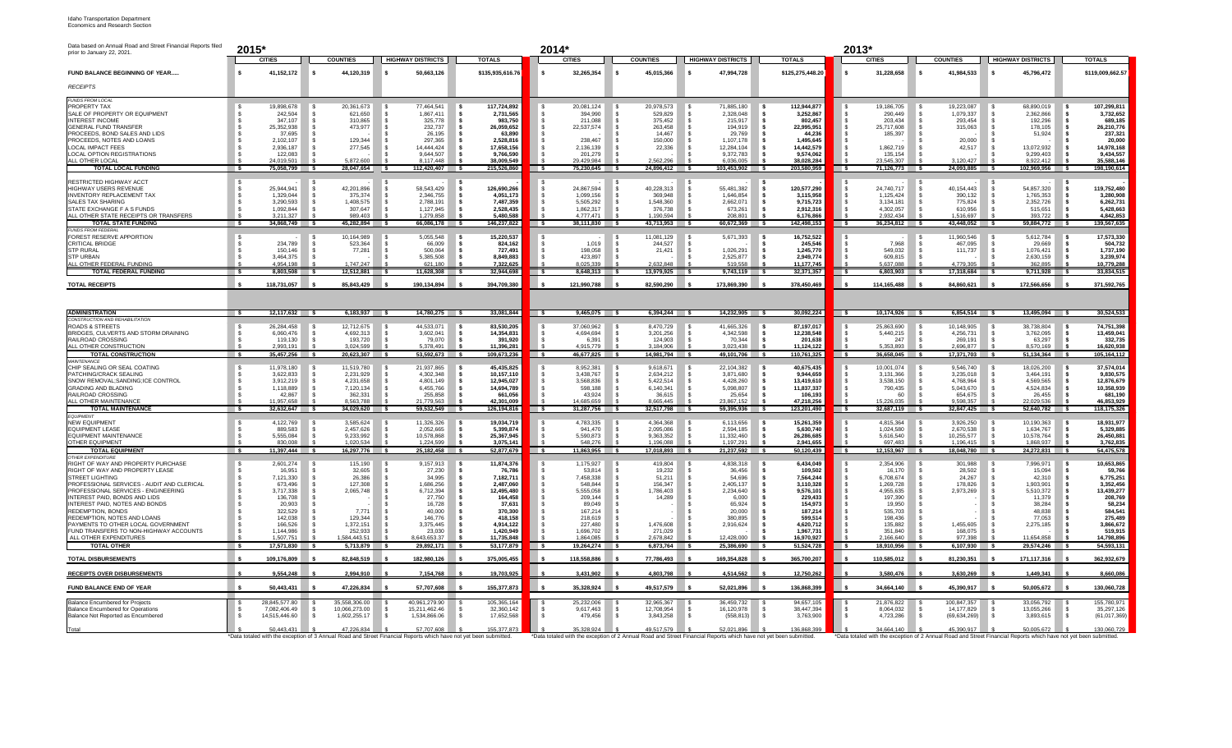| Data based on Annual Road and Street Financial Reports filed<br>prior to January 22, 2021. | 2015*                                                                                                                           |                                        |                                  |                           | 2014*                                                                                                                           |                              |                                   |                           | 2013*                                                   |                                                                                                                                 |                                        |                                |  |
|--------------------------------------------------------------------------------------------|---------------------------------------------------------------------------------------------------------------------------------|----------------------------------------|----------------------------------|---------------------------|---------------------------------------------------------------------------------------------------------------------------------|------------------------------|-----------------------------------|---------------------------|---------------------------------------------------------|---------------------------------------------------------------------------------------------------------------------------------|----------------------------------------|--------------------------------|--|
|                                                                                            | <b>CITIES</b>                                                                                                                   | <b>COUNTIES</b>                        | <b>HIGHWAY DISTRICTS</b>         | <b>TOTALS</b>             | <b>CITIES</b>                                                                                                                   | <b>COUNTIES</b>              | <b>HIGHWAY DISTRICTS</b>          | <b>TOTALS</b>             | <b>CITIES</b>                                           | <b>COUNTIES</b>                                                                                                                 | <b>HIGHWAY DISTRICTS</b>               | <b>TOTALS</b>                  |  |
| FUND BALANCE BEGINNING OF YEAR                                                             | 41,152,172                                                                                                                      | 44,120,319                             | 50,663,126<br>s                  | \$135,935,616.76          | 32,265,354                                                                                                                      | 45,015,366                   | 47,994,728<br>\$.                 | \$125,275,448.20          | 31,228,658                                              | 41,984,533                                                                                                                      | 45,796,472<br>-S                       | \$119,009,662.57               |  |
| <b>RECEIPTS</b>                                                                            |                                                                                                                                 |                                        |                                  |                           |                                                                                                                                 |                              |                                   |                           |                                                         |                                                                                                                                 |                                        |                                |  |
| FUNDS FROM LOCAL                                                                           |                                                                                                                                 |                                        |                                  |                           |                                                                                                                                 |                              |                                   |                           |                                                         |                                                                                                                                 |                                        |                                |  |
| PROPERTY TAX<br>SALE OF PROPERTY OR EQUIPMENT                                              | 19,898,678<br>242.504                                                                                                           | 20,361,673<br>621.650                  | 77,464,541<br>1.867.411<br>-S    | 117,724,892<br>2.731.565  | 20,081,124<br>394.990                                                                                                           | 20,978,573<br>529.829        | 71,885,180<br>2.328.048           | 112,944,877<br>3.252.867  | 19,186,705<br>290.449                                   | 19,223,087<br>1.079.337                                                                                                         | 68,890,019<br>2.362.866                | 107,299,811<br>3.732.652       |  |
| <b>INTEREST INCOME</b><br><b>GENERAL FUND TRANSFER</b>                                     | 347.107<br>25,352,938                                                                                                           | 310.865<br>473,977                     | 325,778<br>232,737               | 983.750<br>26,059,652     | 211.088<br>22.537.574                                                                                                           | 375,452<br>263.458           | 215.917<br>194.919                | 802.457<br>22,995,951     | 203.434<br>25.717.608                                   | 293.454<br>315.063                                                                                                              | 192,296<br>178.105                     | 689.185<br>26,210,776          |  |
| PROCEEDS, BOND SALES AND LIDS                                                              | 37.695                                                                                                                          |                                        | 26.195                           | 63.890                    |                                                                                                                                 | 14.467                       | 29.769                            | 44.236                    | 185,397                                                 |                                                                                                                                 | 51,924                                 | 237,321                        |  |
| PROCEEDS, NOTES AND LOANS<br><b>LOCAL IMPACT FEES</b>                                      | 2.102.107<br>2.936.187                                                                                                          | 129,344<br>277,545                     | 297,365<br>14.444.424            | 2,528,816<br>17.658.156   | 238,467<br>2,136,139                                                                                                            | 150,000<br>22,336            | 1,107,178<br>12.284.104           | 1,495,645<br>14,442,579   | 1,862,719                                               | 20,000<br>42,517                                                                                                                | 13,072,932                             | 20,000<br>14,978,168           |  |
| LOCAL OPTION REGISTRATIONS                                                                 | 122.083<br>24.019.501                                                                                                           | 5.872.600                              | 9.644.507<br>8.117.448           | 9.766.590                 | 201.279                                                                                                                         | 2.562.296                    | 9,372,783<br>6.036.005            | 9.574.062                 | 135.154<br>23.545.307                                   | 3.120.427                                                                                                                       | 9.299.403                              | 9,434,557                      |  |
| ALL OTHER LOCAL<br><b>TOTAL LOCAL FUNDING</b>                                              | $\sim$<br>75,058,799                                                                                                            | 28,047,654<br>$\overline{\phantom{a}}$ | 112,420,407 \$<br>⊪s             | 38,009,549<br>215,526,860 | 29,429,984<br>75,230,645 \$<br>$\sim$                                                                                           | 24,896,412 \$                | 103,453,902                       | 38,028,284<br>203,580,959 | 71,126,773 \$<br>$\sim$                                 | 24,093,885                                                                                                                      | 8,922,412<br>102,969,956               | 35,588,146<br>198,190,614      |  |
| RESTRICTED HIGHWAY ACCT                                                                    |                                                                                                                                 |                                        |                                  |                           |                                                                                                                                 |                              |                                   |                           |                                                         |                                                                                                                                 |                                        |                                |  |
| <b>HIGHWAY USERS REVENUE</b><br><b>INVENTORY REPLACEMENT TAX</b>                           | 25,944,941<br>1,329,044                                                                                                         | 42,201,896<br>375.374                  | 58,543,429<br>2,346,755          | 126,690,266<br>4.051.173  | 24,867,594<br>1,099,156                                                                                                         | 40,228,313<br>369,948        | 55,481,382<br>1.646.854           | 120,577,290<br>3,115,958  | 24,740,717<br>1,125,424                                 | 40,154,443<br>390,132                                                                                                           | 54,857,320<br>1,765,353                | 119,752,480<br>3,280,908       |  |
| SALES TAX SHARING                                                                          | 3.290.593                                                                                                                       | 1.408.575                              | 2,788,191                        | 7.487.359                 | 5,505,292                                                                                                                       | 1,548,360                    | 2.662.071                         | 9,715,723                 | 3.134.181                                               | 775.824                                                                                                                         | 2,352,726                              | 6,262,731                      |  |
| <b>STATE EXCHANGE F A S FUNDS</b><br>ALL OTHER STATE RECEIPTS OR TRANSFERS                 | 1,092,844<br>3.211.327                                                                                                          | 307.647<br>989.403                     | 1.127.945<br>1.279.858           | 2,528,435<br>5,480,588    | 1.862.317<br>4.777.471                                                                                                          | 376,738<br>1.190.594         | 673.261<br>208.801                | 2.912.316<br>6.176.866    | 4,302,057<br>2.932.434                                  | 610.956<br>1.516.697                                                                                                            | 515.651<br>393.722                     | 5,428,663<br>4,842,853         |  |
| <b>TOTAL STATE FUNDING</b>                                                                 | $34.868.749$ \$<br>ு                                                                                                            | 45,282,894 \$                          | 66,086,178 \$                    | 146,237,822               | $38.111.830$ \$<br>$\overline{\phantom{a}}$                                                                                     | $43,713,953$ \$              | $60,672,369$ \$                   | 142,498,153               | 36,234,812<br>$-$ s                                     | 43,448,052                                                                                                                      | 59,884,772                             | 139,567,635                    |  |
| <b>FUNDS FROM FEDERAL</b><br>FOREST RESERVE APPORTION                                      |                                                                                                                                 | 10.164.989                             | 5,055,548                        | 15,220,537                |                                                                                                                                 | 11.081.129                   | 5.671.393                         | 16,752,522                |                                                         | 11.960.546                                                                                                                      | 5.612.784                              | 17,573,330                     |  |
| CRITICAL BRIDGE<br><b>STP RURAL</b>                                                        | 234,789<br>150.146                                                                                                              | 523,364<br>77,281                      | 66,009<br>500.064<br>-8          | 824,162<br>727.491        | 1.019<br>198,058                                                                                                                | 244,527<br>21,421            | 1,026,291                         | 245,546<br>1,245,770      | 7.968<br>549.032                                        | 467,095<br>111.737                                                                                                              | 29,669<br>1.076.421                    | 504,732<br>1,737,190           |  |
| <b>STP URBAN</b>                                                                           | 3.464.375                                                                                                                       |                                        | 5,385,508                        | 8.849.883                 | 423,897                                                                                                                         |                              | 2.525.877                         | 2,949,774                 | 609.815                                                 |                                                                                                                                 | 2.630.159                              | 3,239,974                      |  |
| ALL OTHER FEDERAL FUNDING<br><b>TOTAL FEDERAL FUNDING</b>                                  | 4.954.198<br>8,803,508 \$                                                                                                       | 1.747.247<br>12,512,881 \$             | 621.180<br>11,628,308            | 7,322,625<br>32,944,698   | 8.025.339<br>$\overline{\phantom{a}}$<br>8,648,313 \$                                                                           | 2.632.848<br>$13,979,925$ \$ | 519.558<br>$9,743,119$ \$         | 11,177,745<br>32,371,357  | 5.637.088<br>$\overline{\phantom{a}}$<br>$6,803,903$ \$ | 4 779 305<br>17.318.684 \$                                                                                                      | 362.895<br>9,711,928                   | 10,779,288<br>33,834,515       |  |
|                                                                                            |                                                                                                                                 |                                        |                                  |                           |                                                                                                                                 |                              |                                   |                           |                                                         |                                                                                                                                 |                                        |                                |  |
| <b>TOTAL RECEIPTS</b>                                                                      | 118,731,057                                                                                                                     | 85,843,429                             | 190,134,894                      | 394,709,380               | 121,990,788                                                                                                                     | 82,590,290                   | 173,869,390                       | 378,450,469               | 114,165,488                                             | 84,860,621                                                                                                                      | 172,566,656                            | 371,592,765                    |  |
|                                                                                            |                                                                                                                                 |                                        |                                  |                           |                                                                                                                                 |                              |                                   |                           |                                                         |                                                                                                                                 |                                        |                                |  |
| <b>ADMINISTRATION</b>                                                                      | $12,117,632$ \$                                                                                                                 | $6,183,937$ \$                         | $14,780,275$ \$                  | 33,081,844                | $9,465,075$ \$<br>$\overline{\phantom{a}}$                                                                                      | $6,394,244$ \$               | 14,232,905 \$                     | 30,092,224                | 10,174,926 \$<br><b>S</b>                               | $6,854,514$ \$                                                                                                                  | 13,495,094 \$                          | 30,524,533                     |  |
| <b>CONSTRUCTION AND REHABILITATION</b><br><b>ROADS &amp; STREETS</b>                       | 26.284.458                                                                                                                      | 12.712.675                             | 44,533,071<br>l s                | 83,530,205                | 37.060.962                                                                                                                      | 8,470,729                    | 41.665.326<br>۱s                  | 87.197.017                | 25.863.690                                              | 10.148.905                                                                                                                      | 38.738.804                             | 74,751,398                     |  |
| BRIDGES, CULVERTS AND STORM DRAINING<br>RAIL ROAD CROSSING                                 | 6,060,476<br>119,130                                                                                                            | 4,692,313<br>193,720                   | 3,602,041<br>- S<br>79,070<br>-S | 14.354.831<br>391.920     | 4,694,694<br>6,391                                                                                                              | 3,201,256<br>124,903         | 4.342.598<br>۱s<br>70,344<br>- \$ | 12,238,548<br>201,638     | 5,440,215<br>247                                        | 4,256,731<br>269.191                                                                                                            | 3,762,095<br>- 55<br>63,297            | 13,459,041<br>332,735          |  |
| ALL OTHER CONSTRUCTION                                                                     | 2.993.191                                                                                                                       | 3.024.599                              | 5.378.491                        | 11.396.281                | 4 915 779                                                                                                                       | 3.184.906                    | 3.023.438                         | 11.124.122                | 5.353.893                                               | 2.696.877                                                                                                                       | 8.570.169                              | 16,620,938                     |  |
| <b>TOTAL CONSTRUCTION</b><br><b>MAINTENANCE</b>                                            | 35.457.256 \$<br>$\overline{\phantom{a}}$                                                                                       | 20.623.307 S                           | 53,592,673 \$                    | 109,673,236               | $\overline{\phantom{a}}$<br>46,677,825 \$                                                                                       | 14.981.794 \$                | 49.101.706 S                      | 110,761,325               | 36.658.045 \$<br>$\overline{\phantom{a}}$               | $17,371,703$ \$                                                                                                                 | $51.134.364$ S                         | 105,164,112                    |  |
| CHIP SEALING OR SEAL COATING<br>PATCHING/CRACK SEALING                                     | 11,978,180<br>3,622,833                                                                                                         | 11.519.780<br>2,231,929                | 21,937,865<br>4,302,348          | 45,435,825<br>10.157.110  | 8,952,381<br>3.438.767                                                                                                          | 9,618,671<br>2,634,212       | 22.104.382<br>3.871.680           | 40,675,435<br>9,944,659   | 10.001.074<br>3,131,366                                 | 9.546.740<br>3,235,018                                                                                                          | 18.026.200<br>3.464.191                | 37,574,014<br>9,830,575        |  |
| SNOW REMOVAL; SANDING; ICE CONTROL                                                         | 3,912,219                                                                                                                       | 4,231,658                              | 4,801,149<br>-S                  | 12,945,027                | 3,568,836                                                                                                                       | 5,422,514                    | 4.428.260<br>- \$                 | 13,419,610                | 3,538,150                                               | 4,768,964                                                                                                                       | 4,569,565                              | 12,876,679                     |  |
| <b>GRADING AND BLADING</b><br><b>RAIL ROAD CROSSING</b>                                    | 1.118.889<br>42,867                                                                                                             | 7.120.134<br>362,331                   | 6,455,766<br>255,858             | 14.694.789<br>661,056     | 598.188<br>43,924                                                                                                               | 6.140.341<br>36,615          | 5.098.807<br>- \$<br>25,654       | 11.837.337<br>106,193     | 790.435<br>60                                           | 5.043.670<br>654,675                                                                                                            | 4.524.834<br>26,455                    | 10.358.939<br>681,190          |  |
| ALL OTHER MAINTENANCE                                                                      | 11.957.658                                                                                                                      | 8.563.788                              | 21,779,563<br>╶╶                 | 42,301,009                | 14.685.659                                                                                                                      | 8.665.445                    | 23.867.152                        | 47,218,256                | 15.226.035                                              | 9.598.357                                                                                                                       | 22.029.536<br>$\overline{\phantom{a}}$ | 46,853,929                     |  |
| <b>TOTAL MAINTENANCE</b><br><b>FOURMENT</b>                                                | ్క<br>$32,632,647$ \$                                                                                                           | 34,029,620                             | $59,532,549$ \$                  | 126,194,816               | $31,287,756$ \$<br>ाऽ                                                                                                           | $32,517,798$ \$              | $59,395,936$ \$                   | 123,201,490               | $32,687,119$ \$<br>$\overline{\phantom{a}}$             | 32,847,425                                                                                                                      | 52,640,782                             | 118,175,326<br>่ร              |  |
| <b>NEW EQUIPMENT</b><br><b>EQUIPMENT LEASE</b>                                             | 4,122,769<br>889,583                                                                                                            | 3,585,624<br>2,457,626                 | 11,326,326<br>2,052,665<br>S     | 19,034,719<br>5,399,874   | 4,783,335<br>941,470                                                                                                            | 4,364,368<br>2,095,086       | 6,113,656<br>2,594,185<br>- S     | 15,261,359<br>5,630,740   | 4,815,364<br>1,024,580                                  | 3,926,250<br>2,670,538                                                                                                          | 10,190,363<br>1,634,767                | 18,931,977<br>5,329,885        |  |
| FOUIPMENT MAINTENANCE                                                                      | 5.555.084                                                                                                                       | 9.233.992                              | 10.578.868<br>-S                 | 25.367.945                | 5.590.873                                                                                                                       | 9.363.352                    | 11.332.460                        | 26,286,685                | 5.616.540                                               | 10.255.577                                                                                                                      | 10.578.764                             | 26,450,881                     |  |
| OTHER FOLUPMENT<br><b>TOTAL EQUIPMENT</b>                                                  | 830,008<br>11,397,444 \$<br>■ S                                                                                                 | 1.020.534<br>16,297,776 \$             | 1 224 599<br>25,182,458 \$       | 3,075,141<br>52,877,679   | 548 276<br>$\overline{\phantom{a}}$<br>$11,863,955$ \$                                                                          | 1 196 088<br>17,018,893 \$   | 1 107 201<br>$21,237,592$ \$      | 2,941,655<br>50,120,439   | 607 483<br>12,153,967 \$<br>$\sim$                      | 1196415<br>18,048,780                                                                                                           | 1868.937<br>24,272,831<br>ls.          | 3,762,835<br>54,475,578<br>⊪ c |  |
| <b>OTHER EXPENDITUR</b><br>RIGHT OF WAY AND PROPERTY PURCHASE                              | 2.601.274                                                                                                                       | 115.190                                | 9.157.913                        | 11.874.376                | 1.175.927                                                                                                                       | 419.804                      | 4.838.318                         | 6.434.049                 | 2.354.906                                               | 301.988                                                                                                                         | 7.996.971                              | 10,653,865                     |  |
| RIGHT OF WAY AND PROPERTY LEASE                                                            | 16,951                                                                                                                          | 32,605                                 | 27,230                           | 76,786                    | 53,814                                                                                                                          | 19,232                       | 36,456                            | 109,502                   | 16,170                                                  | 28,502                                                                                                                          | 15,094                                 | 59,766                         |  |
| STREET LIGHTING<br>PROFESSIONAL SERVICES - AUDIT AND CLERICAL                              | 7,121,330<br>673.496                                                                                                            | 26,386<br>127,308                      | 34,995<br>1.686.256              | 7,182,711<br>2.487.060    | 7,458,338<br>548.844                                                                                                            | 51,211<br>156.347            | 54.696<br>2.405.137               | 7,564,244<br>3.110.328    | 6,708,674<br>1.269.728                                  | 24,267<br>178,826                                                                                                               | 42,310<br>1.903.901                    | 6,775,251<br>3,352,456         |  |
| PROFESSIONAL SERVICES - ENGINEERING                                                        | 3,717,338                                                                                                                       | 2,065,748                              | 6,712,394                        | 12,495,480                | 5,555,058                                                                                                                       | 1,786,403                    | 2,234,640                         | 9,576,101                 | 4,955,635                                               | 2,973,269                                                                                                                       | 5,510,372                              | 13,439,277                     |  |
| INTEREST PAID, BONDS AND LIDS<br>INTEREST PAID. NOTES AND BONDS                            | 136.708<br>20.903                                                                                                               |                                        | 27.750<br>16.728                 | 164.458<br>37 631         | 209.144<br>89.049                                                                                                               | 14.289                       | 6.000<br>65.924                   | 229.433<br>154.973        | 197.390<br>19 950                                       |                                                                                                                                 | 11.379<br>38.284                       | 208,769<br>58.234              |  |
| REDEMPTION, BONDS<br>REDEMPTION, NOTES AND LOANS                                           | 322,529<br>142.038                                                                                                              | 7.771<br>129,344                       | 40,000<br>146.776                | 370,300<br>418.158        | 167,214<br>218,619                                                                                                              |                              | 20,000<br>380.895                 | 187,214<br>599.514        | 535.703<br>198.436                                      |                                                                                                                                 | 48,838<br>77.053                       | 584,541<br>275,489             |  |
| PAYMENTS TO OTHER LOCAL GOVERNMENT                                                         | 166,526                                                                                                                         | 1,372,151                              | 3,375,445                        | 4,914,122                 | 227,480                                                                                                                         | 1,476,608                    | 2,916,624                         | 4,620,712                 | 135,882                                                 | 1,455,605                                                                                                                       | 2,275,185                              | 3,866,672                      |  |
| FUND TRANSFERS TO NON-HIGHWAY ACCOUNTS<br>ALL OTHER EXPENDITURES                           | 1.144.986<br>1 507 751                                                                                                          | 252,933<br>584 443 51                  | 23,030<br>8.643.653.33           | 1,420,949<br>11 735 848   | 1,696,702<br>1.864.085                                                                                                          | 271,029<br>2 678 842         | 12 428 000                        | 1,967,731<br>16,970,927   | 351.840<br>2.166.640                                    | 168.075<br>977398                                                                                                               | 11 654 858                             | 519,915<br>14,798,896          |  |
| <b>TOTAL OTHER</b>                                                                         | 17.571.830<br>$\overline{\mathbf{s}}$                                                                                           | 5,713,879                              | 29,892,171                       | 53,177,879                | 19,264,274<br>$\sim$                                                                                                            | 6.873.764                    | 25.386.690                        | 51,524,728                | 18,910,956                                              | 6,107,930                                                                                                                       | 29,574,246                             | 54,593,131                     |  |
| <b>TOTAL DISBURSEMENTS</b>                                                                 | 109.176.809                                                                                                                     | 82,848,519                             | 182,980,126                      | 375,005,455               | 118,558,886                                                                                                                     | 77,786,493                   | 169,354,828                       | 365,700,207               | 110,585,012                                             | 81,230,351                                                                                                                      | 171.117.316                            | 362,932,679                    |  |
| <b>RECEIPTS OVER DISBURSEMENTS</b>                                                         | 9.554.248                                                                                                                       | 2,994,910                              | 7.154.768                        | 19,703,925                | 3.431.902                                                                                                                       | 4.803.798                    | 4.514.562                         | 12,750,262                | 3.580.476                                               | 3.630.269                                                                                                                       | 1.449.341                              | 8,660,086                      |  |
| FUND BALANCE END OF YEAR                                                                   | 50.443.431                                                                                                                      | 47,226,834                             | 57.707.608                       | 155,377,873               | 35.328.924                                                                                                                      | 49.517.579                   | 52.021.896                        | 136,868,399               | 34.664.140                                              | 45,390,917                                                                                                                      | 50.005.672                             | 130,060,728                    |  |
| <b>Balance Encumbered for Projects</b>                                                     | 28.845.577.80                                                                                                                   | 35.558.306.00                          | 40.961.279.90                    | 105.365.164               | 25.232.006                                                                                                                      | 32.965.367                   | 36.459.732                        | 94.657.105                | 21.876.822                                              | 00.847.357                                                                                                                      | 33.056.792                             | 155,780,971                    |  |
| <b>Balance Encumbered for Operations</b>                                                   | 7.082.406.49                                                                                                                    | 10,066,273.00                          | 15.211.462.46                    | 32.360.142                | 9.617.463                                                                                                                       | 12,708,954                   | 16.120.978                        | 38,447,394                | 8.064.032                                               | 14.177.829                                                                                                                      | 13.055.266                             | 35,297,126                     |  |
| Balance Not Reported as Encumbered                                                         | 14,515,446.60                                                                                                                   | 1.602.255.17                           | 1.534.866.06<br>-S               | 17.652.568                | 479.456                                                                                                                         | 3.843.258                    | (558.813)                         | 3.763.900                 | 4,723,286                                               | (69.634.269)                                                                                                                    | 3.893.615<br>- 55                      | (61, 017, 369)                 |  |
| Total                                                                                      | 50.443.431<br>*Data totaled with the exception of 3 Annual Road and Street Financial Reports which have not vet been submitted. | 47.226.834                             | 57,707,608                       | 155.377.873               | 35.328.924<br>*Data totaled with the exception of 2 Annual Road and Street Financial Reports which have not vet been submitted. | 49.517.579                   | 52.021.896                        | 136.868.399               | 34.664.140                                              | 45.390.917<br>*Data totaled with the exception of 2 Annual Road and Street Financial Reports which have not vet been submitted. | 50.005.672                             | 130.060.729                    |  |